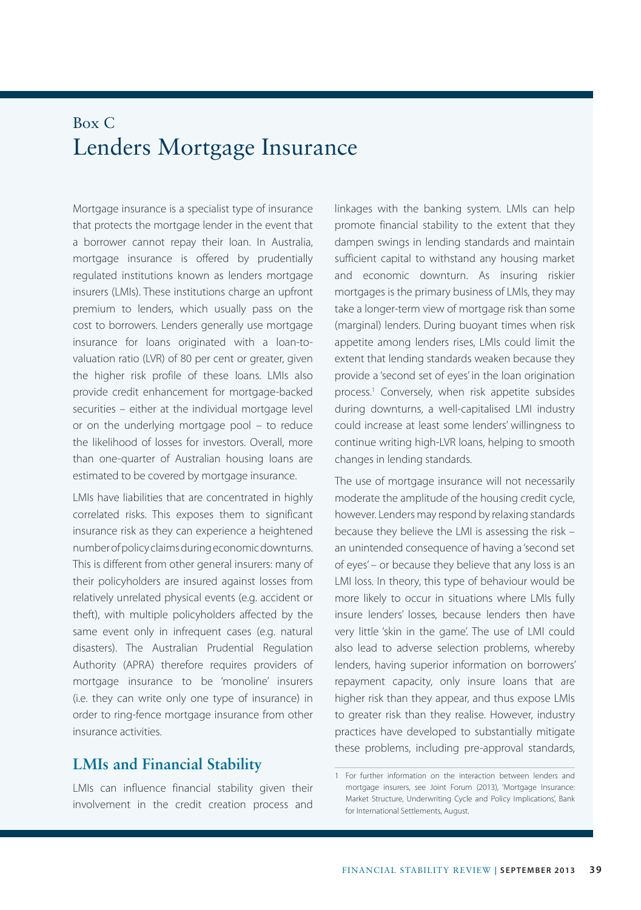## Box C Lenders Mortgage Insurance

Mortgage insurance is a specialist type of insurance that protects the mortgage lender in the event that a borrower cannot repay their loan. In Australia, mortgage insurance is offered by prudentially regulated institutions known as lenders mortgage insurers (LMIs). These institutions charge an upfront premium to lenders, which usually pass on the cost to borrowers. Lenders generally use mortgage insurance for loans originated with a loan-tovaluation ratio (LVR) of 80 per cent or greater, given the higher risk profile of these loans. LMIs also provide credit enhancement for mortgage-backed securities – either at the individual mortgage level or on the underlying mortgage pool – to reduce the likelihood of losses for investors. Overall, more than one-quarter of Australian housing loans are estimated to be covered by mortgage insurance.

LMIs have liabilities that are concentrated in highly correlated risks. This exposes them to significant insurance risk as they can experience a heightened number of policy claims during economic downturns. This is different from other general insurers: many of their policyholders are insured against losses from relatively unrelated physical events (e.g. accident or theft), with multiple policyholders affected by the same event only in infrequent cases (e.g. natural disasters). The Australian Prudential Regulation Authority (APRA) therefore requires providers of mortgage insurance to be 'monoline' insurers (i.e. they can write only one type of insurance) in order to ring-fence mortgage insurance from other insurance activities.

## **LMIs and Financial Stability**

LMIs can influence financial stability given their involvement in the credit creation process and linkages with the banking system. LMIs can help promote financial stability to the extent that they dampen swings in lending standards and maintain sufficient capital to withstand any housing market and economic downturn. As insuring riskier mortgages is the primary business of LMIs, they may take a longer-term view of mortgage risk than some (marginal) lenders. During buoyant times when risk appetite among lenders rises, LMIs could limit the extent that lending standards weaken because they provide a 'second set of eyes' in the loan origination process.<sup>1</sup> Conversely, when risk appetite subsides during downturns, a well-capitalised LMI industry could increase at least some lenders' willingness to continue writing high-LVR loans, helping to smooth changes in lending standards.

The use of mortgage insurance will not necessarily moderate the amplitude of the housing credit cycle, however. Lenders may respond by relaxing standards because they believe the LMI is assessing the risk – an unintended consequence of having a 'second set of eyes' – or because they believe that any loss is an LMI loss. In theory, this type of behaviour would be more likely to occur in situations where LMIs fully insure lenders' losses, because lenders then have very little 'skin in the game'. The use of LMI could also lead to adverse selection problems, whereby lenders, having superior information on borrowers' repayment capacity, only insure loans that are higher risk than they appear, and thus expose LMIs to greater risk than they realise. However, industry practices have developed to substantially mitigate these problems, including pre-approval standards,

<sup>1</sup> For further information on the interaction between lenders and mortgage insurers, see Joint Forum (2013), 'Mortgage Insurance: Market Structure, Underwriting Cycle and Policy Implications', Bank for International Settlements, August.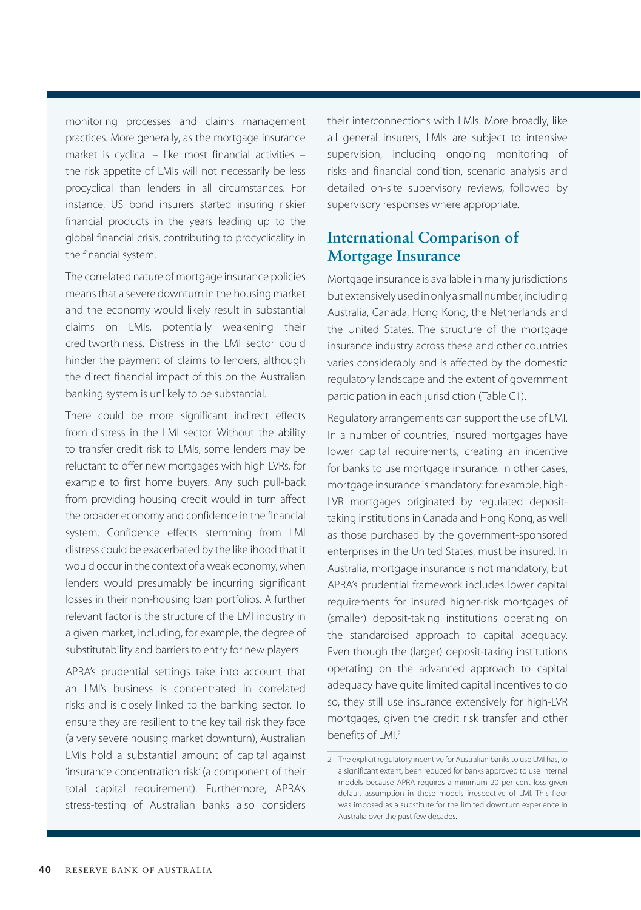monitoring processes and claims management practices. More generally, as the mortgage insurance market is cyclical – like most financial activities – the risk appetite of LMIs will not necessarily be less procyclical than lenders in all circumstances. For instance, US bond insurers started insuring riskier financial products in the years leading up to the global financial crisis, contributing to procyclicality in the financial system.

The correlated nature of mortgage insurance policies means that a severe downturn in the housing market and the economy would likely result in substantial claims on LMIs, potentially weakening their creditworthiness. Distress in the LMI sector could hinder the payment of claims to lenders, although the direct financial impact of this on the Australian banking system is unlikely to be substantial.

There could be more significant indirect effects from distress in the LMI sector. Without the ability to transfer credit risk to LMIs, some lenders may be reluctant to offer new mortgages with high LVRs, for example to first home buyers. Any such pull-back from providing housing credit would in turn affect the broader economy and confidence in the financial system. Confidence effects stemming from LMI distress could be exacerbated by the likelihood that it would occur in the context of a weak economy, when lenders would presumably be incurring significant losses in their non-housing loan portfolios. A further relevant factor is the structure of the LMI industry in a given market, including, for example, the degree of substitutability and barriers to entry for new players.

APRA's prudential settings take into account that an LMI's business is concentrated in correlated risks and is closely linked to the banking sector. To ensure they are resilient to the key tail risk they face (a very severe housing market downturn), Australian LMIs hold a substantial amount of capital against 'insurance concentration risk' (a component of their total capital requirement). Furthermore, APRA's stress-testing of Australian banks also considers their interconnections with LMIs. More broadly, like all general insurers, LMIs are subject to intensive supervision, including ongoing monitoring of risks and financial condition, scenario analysis and detailed on-site supervisory reviews, followed by supervisory responses where appropriate.

## **International Comparison of Mortgage Insurance**

Mortgage insurance is available in many jurisdictions but extensively used in only a small number, including Australia, Canada, Hong Kong, the Netherlands and the United States. The structure of the mortgage insurance industry across these and other countries varies considerably and is affected by the domestic regulatory landscape and the extent of government participation in each jurisdiction (Table C1).

Regulatory arrangements can support the use of LMI. In a number of countries, insured mortgages have lower capital requirements, creating an incentive for banks to use mortgage insurance. In other cases, mortgage insurance is mandatory: for example, high-LVR mortgages originated by regulated deposittaking institutions in Canada and Hong Kong, as well as those purchased by the government-sponsored enterprises in the United States, must be insured. In Australia, mortgage insurance is not mandatory, but APRA's prudential framework includes lower capital requirements for insured higher-risk mortgages of (smaller) deposit-taking institutions operating on the standardised approach to capital adequacy. Even though the (larger) deposit-taking institutions operating on the advanced approach to capital adequacy have quite limited capital incentives to do so, they still use insurance extensively for high-LVR mortgages, given the credit risk transfer and other benefits of LMI.<sup>2</sup>

<sup>2</sup> The explicit regulatory incentive for Australian banks to use LMI has, to a significant extent, been reduced for banks approved to use internal models because APRA requires a minimum 20 per cent loss given default assumption in these models irrespective of LMI. This floor was imposed as a substitute for the limited downturn experience in Australia over the past few decades.